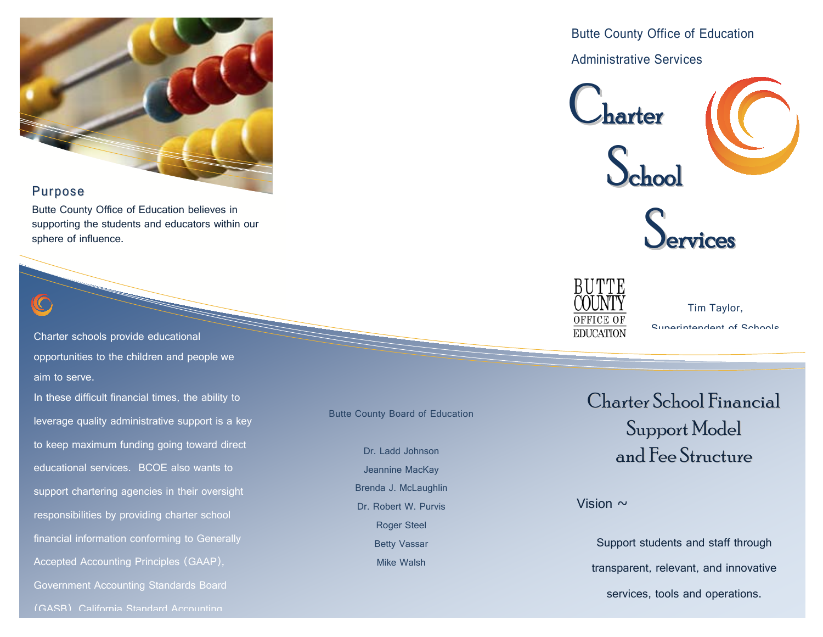

## Purpose

Butte County Office of Education believes in supporting the students and educators within our sphere of influence.

Charter schools provide educational opportunities to the children and people we aim to serve.

In these difficult financial times, the ability to leverage quality administrative support is a key to keep maximum funding going toward direct educational services. BCOE also wants to support chartering agencies in their oversight responsibilities by providing charter school financial information conforming to Generally Accepted Accounting Principles (GAAP), Government Accounting Standards Board

Butte County Board of Education

Dr. Ladd Johnson Jeannine MacKay Brenda J. McLaughlin Dr. Robert W. Purvis Roger Steel Betty Vassar Mike Walsh

Butte County Office of Education Administrative Services







Tim Taylor, Superintendent of Schools

Charter School Financial Support Model and Fee Structure

Vision  $\sim$ 

Support students and staff through transparent, relevant, and innovative services, tools and operations.

(GASB) California Standard Accounting